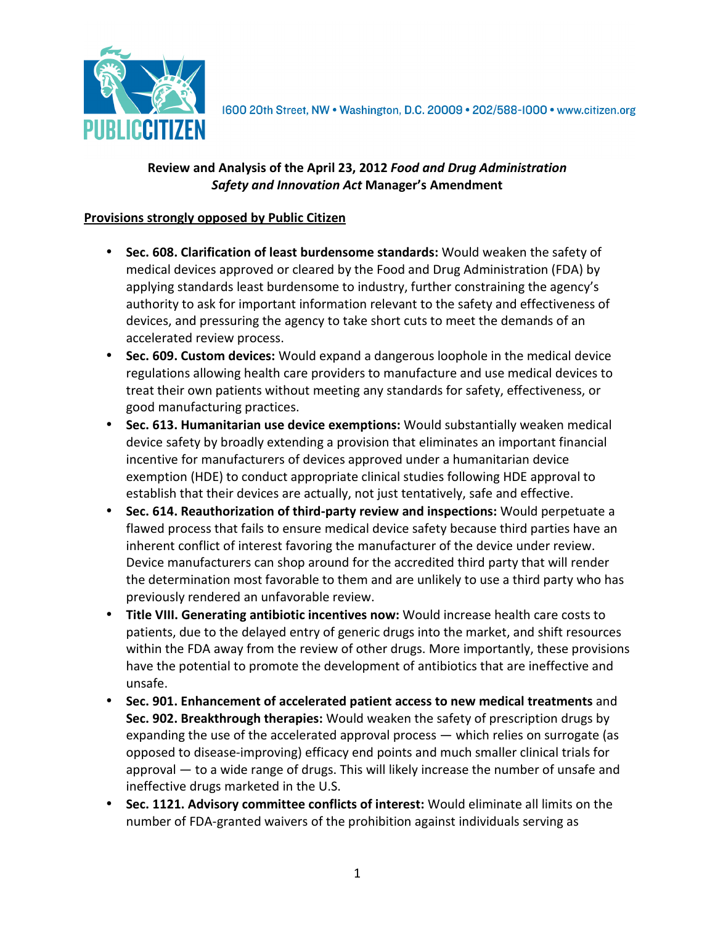

1600 20th Street, NW . Washington, D.C. 20009 . 202/588-1000 . www.citizen.org

## **Review and Analysis of the April 23, 2012** *Food and Drug Administration Safety and Innovation Act* **Manager's Amendment**

#### **Provisions strongly opposed by Public Citizen**

- **Sec. 608. Clarification of least burdensome standards:** Would weaken the safety of medical devices approved or cleared by the Food and Drug Administration (FDA) by applying standards least burdensome to industry, further constraining the agency's authority to ask for important information relevant to the safety and effectiveness of devices, and pressuring the agency to take short cuts to meet the demands of an accelerated review process.
- **Sec. 609. Custom devices:** Would expand a dangerous loophole in the medical device regulations allowing health care providers to manufacture and use medical devices to treat their own patients without meeting any standards for safety, effectiveness, or good manufacturing practices.
- **Sec. 613. Humanitarian use device exemptions:** Would substantially weaken medical device safety by broadly extending a provision that eliminates an important financial incentive for manufacturers of devices approved under a humanitarian device exemption (HDE) to conduct appropriate clinical studies following HDE approval to establish that their devices are actually, not just tentatively, safe and effective.
- **Sec. 614. Reauthorization of third-party review and inspections:** Would perpetuate a flawed process that fails to ensure medical device safety because third parties have an inherent conflict of interest favoring the manufacturer of the device under review. Device manufacturers can shop around for the accredited third party that will render the determination most favorable to them and are unlikely to use a third party who has previously rendered an unfavorable review.
- **Title VIII. Generating antibiotic incentives now:** Would increase health care costs to patients, due to the delayed entry of generic drugs into the market, and shift resources within the FDA away from the review of other drugs. More importantly, these provisions have the potential to promote the development of antibiotics that are ineffective and unsafe.
- **Sec. 901. Enhancement of accelerated patient access to new medical treatments** and **Sec. 902. Breakthrough therapies:** Would weaken the safety of prescription drugs by expanding the use of the accelerated approval process — which relies on surrogate (as opposed to disease-improving) efficacy end points and much smaller clinical trials for approval — to a wide range of drugs. This will likely increase the number of unsafe and ineffective drugs marketed in the U.S.
- **Sec. 1121. Advisory committee conflicts of interest:** Would eliminate all limits on the number of FDA-granted waivers of the prohibition against individuals serving as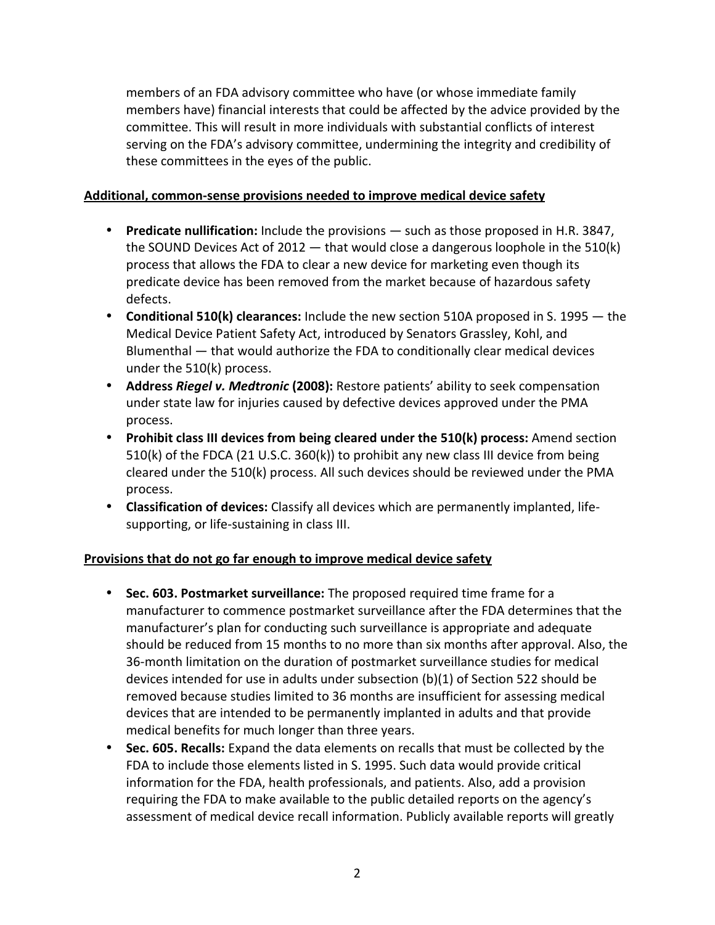members of an FDA advisory committee who have (or whose immediate family members have) financial interests that could be affected by the advice provided by the committee. This will result in more individuals with substantial conflicts of interest serving on the FDA's advisory committee, undermining the integrity and credibility of these committees in the eyes of the public.

## **Additional, common-sense provisions needed to improve medical device safety**

- **Predicate nullification:** Include the provisions such as those proposed in H.R. 3847, the SOUND Devices Act of 2012  $-$  that would close a dangerous loophole in the 510(k) process that allows the FDA to clear a new device for marketing even though its predicate device has been removed from the market because of hazardous safety defects.
- **Conditional 510(k) clearances:** Include the new section 510A proposed in S. 1995 the Medical Device Patient Safety Act, introduced by Senators Grassley, Kohl, and Blumenthal — that would authorize the FDA to conditionally clear medical devices under the 510(k) process.
- **Address** *Riegel v. Medtronic* **(2008):** Restore patients' ability to seek compensation under state law for injuries caused by defective devices approved under the PMA process.
- **Prohibit class III devices from being cleared under the 510(k) process:** Amend section 510(k) of the FDCA (21 U.S.C. 360(k)) to prohibit any new class III device from being cleared under the 510(k) process. All such devices should be reviewed under the PMA process.
- **Classification of devices:** Classify all devices which are permanently implanted, lifesupporting, or life-sustaining in class III.

# **Provisions that do not go far enough to improve medical device safety**

- **Sec. 603. Postmarket surveillance:** The proposed required time frame for a manufacturer to commence postmarket surveillance after the FDA determines that the manufacturer's plan for conducting such surveillance is appropriate and adequate should be reduced from 15 months to no more than six months after approval. Also, the 36-month limitation on the duration of postmarket surveillance studies for medical devices intended for use in adults under subsection (b)(1) of Section 522 should be removed because studies limited to 36 months are insufficient for assessing medical devices that are intended to be permanently implanted in adults and that provide medical benefits for much longer than three years.
- **Sec. 605. Recalls:** Expand the data elements on recalls that must be collected by the FDA to include those elements listed in S. 1995. Such data would provide critical information for the FDA, health professionals, and patients. Also, add a provision requiring the FDA to make available to the public detailed reports on the agency's assessment of medical device recall information. Publicly available reports will greatly